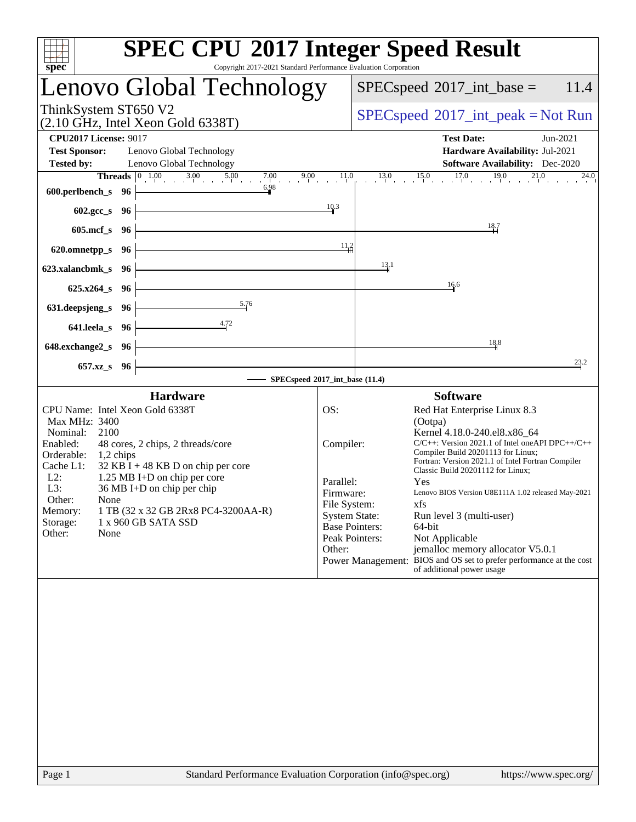| spec <sup>®</sup>                                                                                                                                                                                                                                                                                                                                                                                                                       | <b>SPEC CPU®2017 Integer Speed Result</b><br>Copyright 2017-2021 Standard Performance Evaluation Corporation                                                                                                                                                                                                                                                                                                                                                                                                                                                                                                                                                                                     |
|-----------------------------------------------------------------------------------------------------------------------------------------------------------------------------------------------------------------------------------------------------------------------------------------------------------------------------------------------------------------------------------------------------------------------------------------|--------------------------------------------------------------------------------------------------------------------------------------------------------------------------------------------------------------------------------------------------------------------------------------------------------------------------------------------------------------------------------------------------------------------------------------------------------------------------------------------------------------------------------------------------------------------------------------------------------------------------------------------------------------------------------------------------|
| Lenovo Global Technology                                                                                                                                                                                                                                                                                                                                                                                                                | $SPEC speed^{\circ}2017\_int\_base =$<br>11.4                                                                                                                                                                                                                                                                                                                                                                                                                                                                                                                                                                                                                                                    |
| ThinkSystem ST650 V2<br>$(2.10 \text{ GHz}, \text{Intel Xeon Gold } 6338 \text{T})$                                                                                                                                                                                                                                                                                                                                                     | $SPEC speed^{\circ}2017\_int\_peak = Not Run$                                                                                                                                                                                                                                                                                                                                                                                                                                                                                                                                                                                                                                                    |
| <b>CPU2017 License: 9017</b><br><b>Test Sponsor:</b><br>Lenovo Global Technology<br><b>Tested by:</b><br>Lenovo Global Technology                                                                                                                                                                                                                                                                                                       | <b>Test Date:</b><br>Jun-2021<br>Hardware Availability: Jul-2021<br><b>Software Availability:</b> Dec-2020<br><b>Threads</b> $\begin{bmatrix} 0 & 1.00 & 3.00 & 5.00 & 7.00 & 9.00 & 11.0 & 13.0 & 15.0 & 17.0 & 19.0 & 21.0 & 24.0 \end{bmatrix}$                                                                                                                                                                                                                                                                                                                                                                                                                                               |
| 6.98<br>600.perlbench_s 96 $\vdash$<br>$602.\text{sec}\_\text{S}$ 96                                                                                                                                                                                                                                                                                                                                                                    | $\frac{10.3}{2}$                                                                                                                                                                                                                                                                                                                                                                                                                                                                                                                                                                                                                                                                                 |
| <u> 1989 - Johann Barn, fransk politik fotograf (d. 1989)</u><br>$605 \text{.mcf}\,$ s $96 \div$                                                                                                                                                                                                                                                                                                                                        | $\frac{18.7}{1}$                                                                                                                                                                                                                                                                                                                                                                                                                                                                                                                                                                                                                                                                                 |
| $620.$ omnetpp_s $96$<br><u> 1989 - Johann Stoff, deutscher Stoffen und der Stoffen und der Stoffen und der Stoffen und der Stoffen und der</u><br>623.xalancbmk_s 96 $\vdash$                                                                                                                                                                                                                                                          | $11^{2}_{11}$<br>13.1                                                                                                                                                                                                                                                                                                                                                                                                                                                                                                                                                                                                                                                                            |
| $625.x264_s$ 96<br>5.76<br>631. deepsjeng s 96 $\vdash$                                                                                                                                                                                                                                                                                                                                                                                 | 16.6                                                                                                                                                                                                                                                                                                                                                                                                                                                                                                                                                                                                                                                                                             |
| 4.72<br>$641.$ leela_s $96$<br><u> 1989 - Johann Barn, mars ann an t-Amhair an t-Amhair an t-Amhair an t-Amhair an t-Amhair an t-Amhair an t-Amh</u><br>648.exchange $2_s$ 96                                                                                                                                                                                                                                                           | 18,8                                                                                                                                                                                                                                                                                                                                                                                                                                                                                                                                                                                                                                                                                             |
| 657.xz_s 96                                                                                                                                                                                                                                                                                                                                                                                                                             | 23.2<br>SPECspeed®2017_int_base (11.4)                                                                                                                                                                                                                                                                                                                                                                                                                                                                                                                                                                                                                                                           |
| <b>Hardware</b><br>CPU Name: Intel Xeon Gold 6338T<br><b>Max MHz: 3400</b><br>Nominal:<br>2100<br>Enabled:<br>48 cores, 2 chips, 2 threads/core<br>Orderable:<br>1,2 chips<br>Cache L1:<br>$32$ KB I + 48 KB D on chip per core<br>$L2$ :<br>1.25 MB I+D on chip per core<br>L3:<br>36 MB I+D on chip per chip<br>Other:<br>None<br>1 TB (32 x 32 GB 2Rx8 PC4-3200AA-R)<br>Memory:<br>Storage:<br>1 x 960 GB SATA SSD<br>Other:<br>None | <b>Software</b><br>OS:<br>Red Hat Enterprise Linux 8.3<br>(Ootpa)<br>Kernel 4.18.0-240.el8.x86_64<br>Compiler:<br>$C/C++$ : Version 2021.1 of Intel one API DPC++/C++<br>Compiler Build 20201113 for Linux;<br>Fortran: Version 2021.1 of Intel Fortran Compiler<br>Classic Build 20201112 for Linux;<br>Parallel:<br>Yes<br>Firmware:<br>Lenovo BIOS Version U8E111A 1.02 released May-2021<br>File System:<br>xfs<br><b>System State:</b><br>Run level 3 (multi-user)<br><b>Base Pointers:</b><br>64-bit<br>Peak Pointers:<br>Not Applicable<br>jemalloc memory allocator V5.0.1<br>Other:<br>Power Management: BIOS and OS set to prefer performance at the cost<br>of additional power usage |
|                                                                                                                                                                                                                                                                                                                                                                                                                                         |                                                                                                                                                                                                                                                                                                                                                                                                                                                                                                                                                                                                                                                                                                  |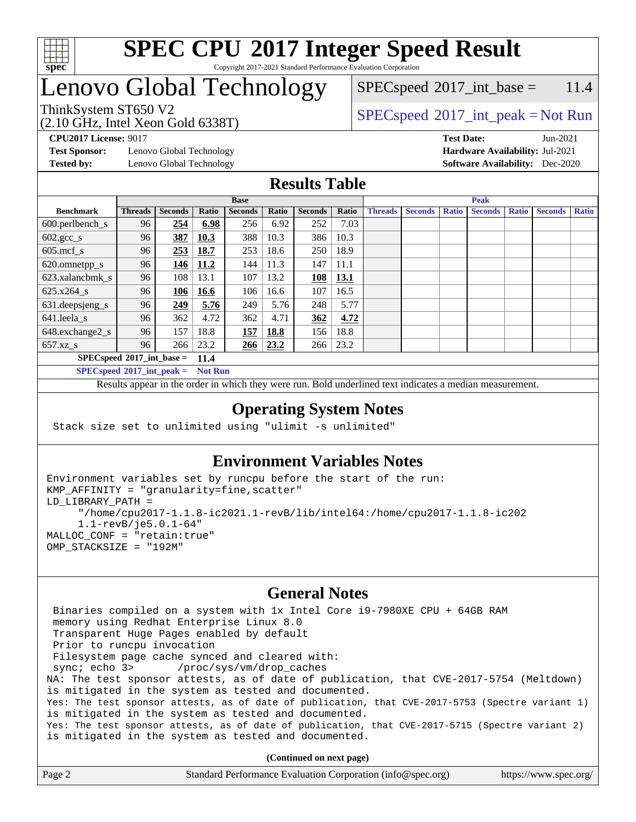

### **[SPEC CPU](http://www.spec.org/auto/cpu2017/Docs/result-fields.html#SPECCPU2017IntegerSpeedResult)[2017 Integer Speed Result](http://www.spec.org/auto/cpu2017/Docs/result-fields.html#SPECCPU2017IntegerSpeedResult)** Copyright 2017-2021 Standard Performance Evaluation Corporation

# Lenovo Global Technology

 $SPECspeed^{\circ}2017\_int\_base = 11.4$  $SPECspeed^{\circ}2017\_int\_base = 11.4$ 

ThinkSystem ST650 V2  $SPECspeed^{\circ}2017\_int\_peak = Not Run$  $SPECspeed^{\circ}2017\_int\_peak = Not Run$ 

**[Test Sponsor:](http://www.spec.org/auto/cpu2017/Docs/result-fields.html#TestSponsor)** Lenovo Global Technology **[Hardware Availability:](http://www.spec.org/auto/cpu2017/Docs/result-fields.html#HardwareAvailability)** Jul-2021 **[Tested by:](http://www.spec.org/auto/cpu2017/Docs/result-fields.html#Testedby)** Lenovo Global Technology **[Software Availability:](http://www.spec.org/auto/cpu2017/Docs/result-fields.html#SoftwareAvailability)** Dec-2020

(2.10 GHz, Intel Xeon Gold 6338T)

**[CPU2017 License:](http://www.spec.org/auto/cpu2017/Docs/result-fields.html#CPU2017License)** 9017 **[Test Date:](http://www.spec.org/auto/cpu2017/Docs/result-fields.html#TestDate)** Jun-2021

### **[Results Table](http://www.spec.org/auto/cpu2017/Docs/result-fields.html#ResultsTable)**

|                             | <b>Base</b>    |                |             |                |       | <b>Peak</b>    |       |                |                |              |                |              |                |              |
|-----------------------------|----------------|----------------|-------------|----------------|-------|----------------|-------|----------------|----------------|--------------|----------------|--------------|----------------|--------------|
| <b>Benchmark</b>            | <b>Threads</b> | <b>Seconds</b> | Ratio       | <b>Seconds</b> | Ratio | <b>Seconds</b> | Ratio | <b>Threads</b> | <b>Seconds</b> | <b>Ratio</b> | <b>Seconds</b> | <b>Ratio</b> | <b>Seconds</b> | <b>Ratio</b> |
| $600.$ perlbench_s          | 96             | 254            | 6.98        | 256            | 6.92  | 252            | 7.03  |                |                |              |                |              |                |              |
| $602.\text{gcc}\_\text{s}$  | 96             | 387            | 10.3        | 388            | 10.3  | 386            | 10.3  |                |                |              |                |              |                |              |
| $605$ .mcf s                | 96             | 253            | <u>18.7</u> | 253            | 18.6  | 250            | 18.9  |                |                |              |                |              |                |              |
| 620.omnetpp_s               | 96             | 146            | 11.2        | 144            | 11.3  | 147            | 11.1  |                |                |              |                |              |                |              |
| 623.xalancbmk s             | 96             | 108            | 13.1        | 107            | 13.2  | 108            | 13.1  |                |                |              |                |              |                |              |
| 625.x264 s                  | 96             | 106            | 16.6        | 106            | 16.6  | 107            | 16.5  |                |                |              |                |              |                |              |
| 631.deepsjeng_s             | 96             | 249            | 5.76        | 249            | 5.76  | 248            | 5.77  |                |                |              |                |              |                |              |
| 641.leela s                 | 96             | 362            | 4.72        | 362            | 4.71  | 362            | 4.72  |                |                |              |                |              |                |              |
| 648.exchange2_s             | 96             | 157            | 18.8        | 157            | 18.8  | 156            | 18.8  |                |                |              |                |              |                |              |
| $657.xz$ s                  | 96             | 266            | 23.2        | 266            | 23.2  | 266            | 23.2  |                |                |              |                |              |                |              |
| $SPECspeed*2017$ int base = |                |                | 11.4        |                |       |                |       |                |                |              |                |              |                |              |

**[SPECspeed](http://www.spec.org/auto/cpu2017/Docs/result-fields.html#SPECspeed2017intpeak)[2017\\_int\\_peak =](http://www.spec.org/auto/cpu2017/Docs/result-fields.html#SPECspeed2017intpeak) Not Run**

Results appear in the [order in which they were run.](http://www.spec.org/auto/cpu2017/Docs/result-fields.html#RunOrder) Bold underlined text [indicates a median measurement.](http://www.spec.org/auto/cpu2017/Docs/result-fields.html#Median)

### **[Operating System Notes](http://www.spec.org/auto/cpu2017/Docs/result-fields.html#OperatingSystemNotes)**

Stack size set to unlimited using "ulimit -s unlimited"

### **[Environment Variables Notes](http://www.spec.org/auto/cpu2017/Docs/result-fields.html#EnvironmentVariablesNotes)**

```
Environment variables set by runcpu before the start of the run:
KMP_AFFINITY = "granularity=fine,scatter"
LD_LIBRARY_PATH =
      "/home/cpu2017-1.1.8-ic2021.1-revB/lib/intel64:/home/cpu2017-1.1.8-ic202
      1.1-revB/je5.0.1-64"
MALLOC_CONF = "retain:true"
OMP_STACKSIZE = "192M"
```
#### **[General Notes](http://www.spec.org/auto/cpu2017/Docs/result-fields.html#GeneralNotes)**

 Binaries compiled on a system with 1x Intel Core i9-7980XE CPU + 64GB RAM memory using Redhat Enterprise Linux 8.0 Transparent Huge Pages enabled by default Prior to runcpu invocation Filesystem page cache synced and cleared with: sync; echo 3> /proc/sys/vm/drop\_caches NA: The test sponsor attests, as of date of publication, that CVE-2017-5754 (Meltdown) is mitigated in the system as tested and documented. Yes: The test sponsor attests, as of date of publication, that CVE-2017-5753 (Spectre variant 1) is mitigated in the system as tested and documented. Yes: The test sponsor attests, as of date of publication, that CVE-2017-5715 (Spectre variant 2) is mitigated in the system as tested and documented.

**(Continued on next page)**

| Page 2 | Standard Performance Evaluation Corporation (info@spec.org) | https://www.spec.org/ |
|--------|-------------------------------------------------------------|-----------------------|
|--------|-------------------------------------------------------------|-----------------------|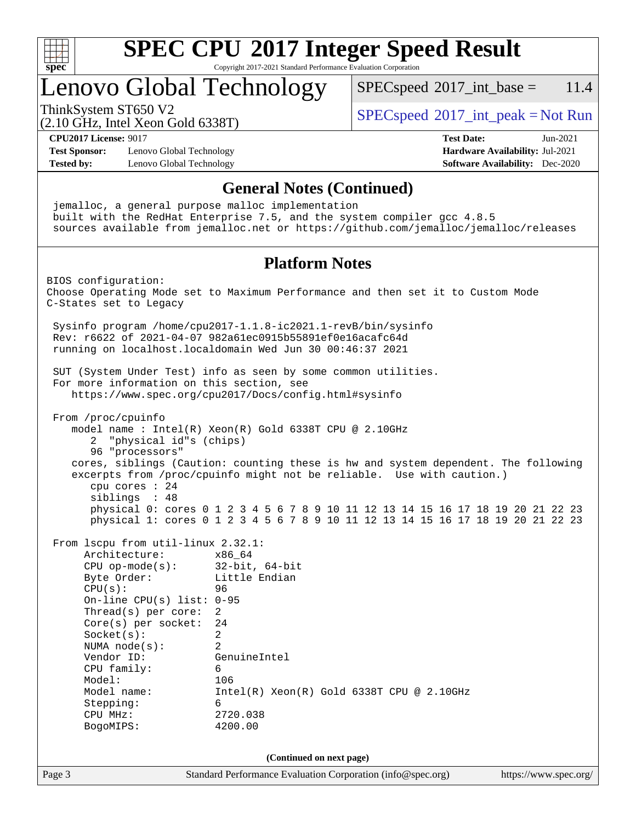

Copyright 2017-2021 Standard Performance Evaluation Corporation

# Lenovo Global Technology

 $SPECspeed^{\circ}2017\_int\_base = 11.4$  $SPECspeed^{\circ}2017\_int\_base = 11.4$ 

(2.10 GHz, Intel Xeon Gold 6338T)

ThinkSystem ST650 V2<br>  $\begin{array}{c}\n\text{SPEC speed} \textdegree 2017\_int\_peak = Not Run\n\end{array}$ 

**[CPU2017 License:](http://www.spec.org/auto/cpu2017/Docs/result-fields.html#CPU2017License)** 9017 **[Test Date:](http://www.spec.org/auto/cpu2017/Docs/result-fields.html#TestDate)** Jun-2021

**[Test Sponsor:](http://www.spec.org/auto/cpu2017/Docs/result-fields.html#TestSponsor)** Lenovo Global Technology **[Hardware Availability:](http://www.spec.org/auto/cpu2017/Docs/result-fields.html#HardwareAvailability)** Jul-2021 **[Tested by:](http://www.spec.org/auto/cpu2017/Docs/result-fields.html#Testedby)** Lenovo Global Technology **[Software Availability:](http://www.spec.org/auto/cpu2017/Docs/result-fields.html#SoftwareAvailability)** Dec-2020

### **[General Notes \(Continued\)](http://www.spec.org/auto/cpu2017/Docs/result-fields.html#GeneralNotes)**

Page 3 Standard Performance Evaluation Corporation [\(info@spec.org\)](mailto:info@spec.org) <https://www.spec.org/> jemalloc, a general purpose malloc implementation built with the RedHat Enterprise 7.5, and the system compiler gcc 4.8.5 sources available from jemalloc.net or <https://github.com/jemalloc/jemalloc/releases> **[Platform Notes](http://www.spec.org/auto/cpu2017/Docs/result-fields.html#PlatformNotes)** BIOS configuration: Choose Operating Mode set to Maximum Performance and then set it to Custom Mode C-States set to Legacy Sysinfo program /home/cpu2017-1.1.8-ic2021.1-revB/bin/sysinfo Rev: r6622 of 2021-04-07 982a61ec0915b55891ef0e16acafc64d running on localhost.localdomain Wed Jun 30 00:46:37 2021 SUT (System Under Test) info as seen by some common utilities. For more information on this section, see <https://www.spec.org/cpu2017/Docs/config.html#sysinfo> From /proc/cpuinfo model name : Intel(R) Xeon(R) Gold 6338T CPU @ 2.10GHz 2 "physical id"s (chips) 96 "processors" cores, siblings (Caution: counting these is hw and system dependent. The following excerpts from /proc/cpuinfo might not be reliable. Use with caution.) cpu cores : 24 siblings : 48 physical 0: cores 0 1 2 3 4 5 6 7 8 9 10 11 12 13 14 15 16 17 18 19 20 21 22 23 physical 1: cores 0 1 2 3 4 5 6 7 8 9 10 11 12 13 14 15 16 17 18 19 20 21 22 23 From lscpu from util-linux 2.32.1: Architecture: x86\_64 CPU op-mode(s): 32-bit, 64-bit Byte Order: Little Endian CPU(s): 96 On-line CPU(s) list: 0-95 Thread(s) per core: 2 Core(s) per socket: 24 Socket(s): 2 NUMA node(s): 2 Vendor ID: GenuineIntel CPU family: 6 Model: 106 Model name: Intel(R) Xeon(R) Gold 6338T CPU @ 2.10GHz Stepping: 6 CPU MHz: 2720.038 BogoMIPS: 4200.00 **(Continued on next page)**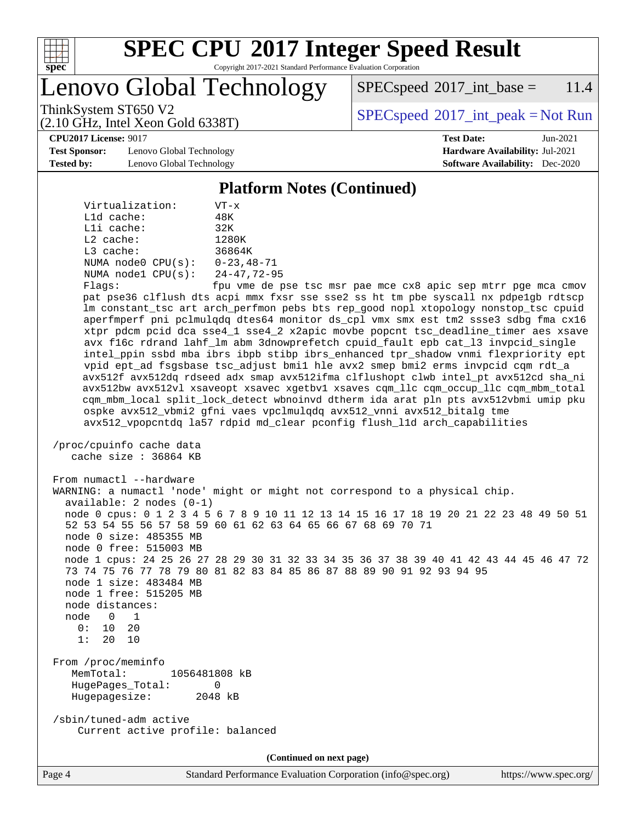

Copyright 2017-2021 Standard Performance Evaluation Corporation

Lenovo Global Technology

 $SPEC speed^{\circ}2017\_int\_base = 11.4$ 

(2.10 GHz, Intel Xeon Gold 6338T)

ThinkSystem ST650 V2  $SPECspeed^{\circ}2017\_int\_peak = Not Run$  $SPECspeed^{\circ}2017\_int\_peak = Not Run$ 

**[CPU2017 License:](http://www.spec.org/auto/cpu2017/Docs/result-fields.html#CPU2017License)** 9017 **[Test Date:](http://www.spec.org/auto/cpu2017/Docs/result-fields.html#TestDate)** Jun-2021

**[Test Sponsor:](http://www.spec.org/auto/cpu2017/Docs/result-fields.html#TestSponsor)** Lenovo Global Technology **[Hardware Availability:](http://www.spec.org/auto/cpu2017/Docs/result-fields.html#HardwareAvailability)** Jul-2021 **[Tested by:](http://www.spec.org/auto/cpu2017/Docs/result-fields.html#Testedby)** Lenovo Global Technology **[Software Availability:](http://www.spec.org/auto/cpu2017/Docs/result-fields.html#SoftwareAvailability)** Dec-2020

### **[Platform Notes \(Continued\)](http://www.spec.org/auto/cpu2017/Docs/result-fields.html#PlatformNotes)**

| Virtualization:         | $VT - x$           |
|-------------------------|--------------------|
| $L1d$ cache:            | 48K                |
| Lli cache:              | 32K                |
| $L2$ cache:             | 1280K              |
| $L3$ cache:             | 36864K             |
| NUMA $node0$ $CPU(s)$ : | $0 - 23.48 - 71$   |
| NUMA $node1$ $CPU(s)$ : | $24 - 47, 72 - 95$ |
| $Fla$ as:               | fpu vme de pa      |

e de pse tsc msr pae mce cx8 apic sep mtrr pge mca cmov pat pse36 clflush dts acpi mmx fxsr sse sse2 ss ht tm pbe syscall nx pdpe1gb rdtscp lm constant\_tsc art arch\_perfmon pebs bts rep\_good nopl xtopology nonstop\_tsc cpuid aperfmperf pni pclmulqdq dtes64 monitor ds\_cpl vmx smx est tm2 ssse3 sdbg fma cx16 xtpr pdcm pcid dca sse4\_1 sse4\_2 x2apic movbe popcnt tsc\_deadline\_timer aes xsave avx f16c rdrand lahf\_lm abm 3dnowprefetch cpuid\_fault epb cat\_l3 invpcid\_single intel\_ppin ssbd mba ibrs ibpb stibp ibrs\_enhanced tpr\_shadow vnmi flexpriority ept vpid ept\_ad fsgsbase tsc\_adjust bmi1 hle avx2 smep bmi2 erms invpcid cqm rdt\_a avx512f avx512dq rdseed adx smap avx512ifma clflushopt clwb intel\_pt avx512cd sha\_ni avx512bw avx512vl xsaveopt xsavec xgetbv1 xsaves cqm\_llc cqm\_occup\_llc cqm\_mbm\_total cqm\_mbm\_local split\_lock\_detect wbnoinvd dtherm ida arat pln pts avx512vbmi umip pku ospke avx512\_vbmi2 gfni vaes vpclmulqdq avx512\_vnni avx512\_bitalg tme avx512\_vpopcntdq la57 rdpid md\_clear pconfig flush\_l1d arch\_capabilities

```
 /proc/cpuinfo cache data
    cache size : 36864 KB
```
From numactl --hardware WARNING: a numactl 'node' might or might not correspond to a physical chip. available: 2 nodes (0-1) node 0 cpus: 0 1 2 3 4 5 6 7 8 9 10 11 12 13 14 15 16 17 18 19 20 21 22 23 48 49 50 51 52 53 54 55 56 57 58 59 60 61 62 63 64 65 66 67 68 69 70 71 node 0 size: 485355 MB node 0 free: 515003 MB node 1 cpus: 24 25 26 27 28 29 30 31 32 33 34 35 36 37 38 39 40 41 42 43 44 45 46 47 72 73 74 75 76 77 78 79 80 81 82 83 84 85 86 87 88 89 90 91 92 93 94 95 node 1 size: 483484 MB node 1 free: 515205 MB node distances: node 0 1  $0: 10 20$  1: 20 10 From /proc/meminfo MemTotal: 1056481808 kB HugePages\_Total: 0 Hugepagesize: 2048 kB

 /sbin/tuned-adm active Current active profile: balanced

**(Continued on next page)**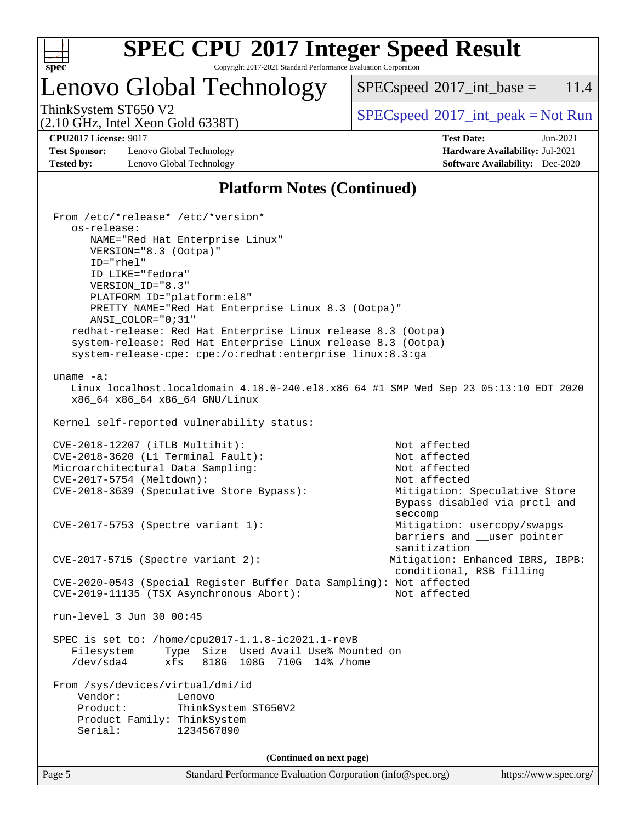

Copyright 2017-2021 Standard Performance Evaluation Corporation

# Lenovo Global Technology

 $SPECspeed^{\circ}2017\_int\_base = 11.4$  $SPECspeed^{\circ}2017\_int\_base = 11.4$ 

(2.10 GHz, Intel Xeon Gold 6338T)

ThinkSystem ST650 V2<br>  $\begin{array}{c}\n\text{SPEC speed} \text{°2017\_int\_peak} = \text{Not Run} \\
\text{SPEC speed} \text{°2017\_int\_peak} = \text{Not Run} \\
\end{array}$ 

**[Test Sponsor:](http://www.spec.org/auto/cpu2017/Docs/result-fields.html#TestSponsor)** Lenovo Global Technology **[Hardware Availability:](http://www.spec.org/auto/cpu2017/Docs/result-fields.html#HardwareAvailability)** Jul-2021 **[Tested by:](http://www.spec.org/auto/cpu2017/Docs/result-fields.html#Testedby)** Lenovo Global Technology **[Software Availability:](http://www.spec.org/auto/cpu2017/Docs/result-fields.html#SoftwareAvailability)** Dec-2020

**[CPU2017 License:](http://www.spec.org/auto/cpu2017/Docs/result-fields.html#CPU2017License)** 9017 **[Test Date:](http://www.spec.org/auto/cpu2017/Docs/result-fields.html#TestDate)** Jun-2021

### **[Platform Notes \(Continued\)](http://www.spec.org/auto/cpu2017/Docs/result-fields.html#PlatformNotes)**

Page 5 Standard Performance Evaluation Corporation [\(info@spec.org\)](mailto:info@spec.org) <https://www.spec.org/> From /etc/\*release\* /etc/\*version\* os-release: NAME="Red Hat Enterprise Linux" VERSION="8.3 (Ootpa)" ID="rhel" ID\_LIKE="fedora" VERSION\_ID="8.3" PLATFORM\_ID="platform:el8" PRETTY\_NAME="Red Hat Enterprise Linux 8.3 (Ootpa)" ANSI\_COLOR="0;31" redhat-release: Red Hat Enterprise Linux release 8.3 (Ootpa) system-release: Red Hat Enterprise Linux release 8.3 (Ootpa) system-release-cpe: cpe:/o:redhat:enterprise\_linux:8.3:ga uname -a: Linux localhost.localdomain 4.18.0-240.el8.x86\_64 #1 SMP Wed Sep 23 05:13:10 EDT 2020 x86\_64 x86\_64 x86\_64 GNU/Linux Kernel self-reported vulnerability status: CVE-2018-12207 (iTLB Multihit): Not affected CVE-2018-3620 (L1 Terminal Fault): Not affected Microarchitectural Data Sampling: Not affected CVE-2017-5754 (Meltdown): Not affected CVE-2018-3639 (Speculative Store Bypass): Mitigation: Speculative Store Bypass disabled via prctl and seccompany and the contract of the contract of the contract of the second seconds of the contract of the contract of the contract of the contract of the contract of the contract of the contract of the contract of the contr CVE-2017-5753 (Spectre variant 1): Mitigation: usercopy/swapgs barriers and \_\_user pointer sanitization CVE-2017-5715 (Spectre variant 2): Mitigation: Enhanced IBRS, IBPB: conditional, RSB filling CVE-2020-0543 (Special Register Buffer Data Sampling): Not affected CVE-2019-11135 (TSX Asynchronous Abort): Not affected run-level 3 Jun 30 00:45 SPEC is set to: /home/cpu2017-1.1.8-ic2021.1-revB Filesystem Type Size Used Avail Use% Mounted on /dev/sda4 xfs 818G 108G 710G 14% /home From /sys/devices/virtual/dmi/id Vendor: Lenovo Product: ThinkSystem ST650V2 Product Family: ThinkSystem Serial: 1234567890 **(Continued on next page)**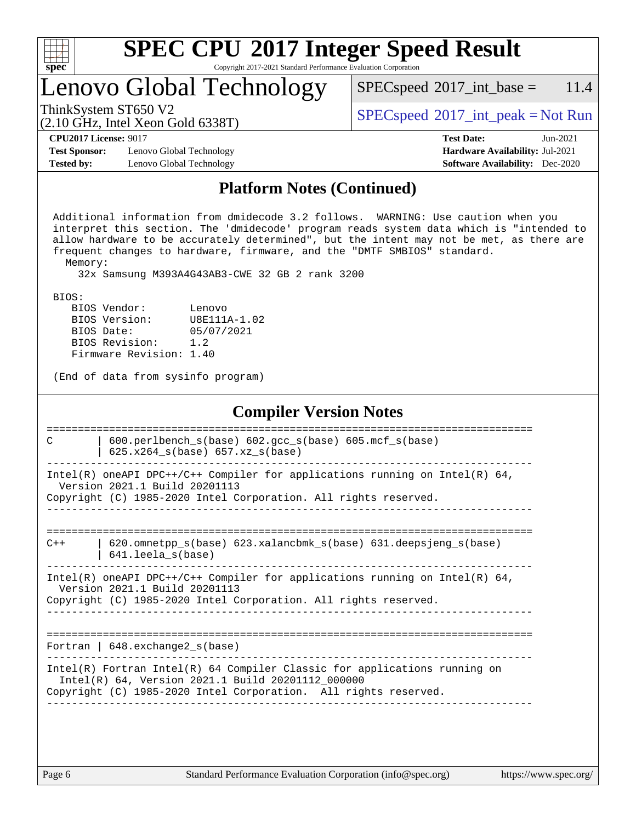| s<br>ť<br>۱, |  |  |  |  |  |
|--------------|--|--|--|--|--|

Copyright 2017-2021 Standard Performance Evaluation Corporation

# Lenovo Global Technology

ThinkSystem ST650 V2<br>  $\begin{array}{c} \text{SPEC speed} \textdegree 2017\_int\_peak = Not Run \end{array}$ 

 $SPECspeed^{\circ}2017\_int\_base = 11.4$  $SPECspeed^{\circ}2017\_int\_base = 11.4$ 

#### (2.10 GHz, Intel Xeon Gold 6338T)

**[CPU2017 License:](http://www.spec.org/auto/cpu2017/Docs/result-fields.html#CPU2017License)** 9017 **[Test Date:](http://www.spec.org/auto/cpu2017/Docs/result-fields.html#TestDate)** Jun-2021

**[Test Sponsor:](http://www.spec.org/auto/cpu2017/Docs/result-fields.html#TestSponsor)** Lenovo Global Technology **[Hardware Availability:](http://www.spec.org/auto/cpu2017/Docs/result-fields.html#HardwareAvailability)** Jul-2021 **[Tested by:](http://www.spec.org/auto/cpu2017/Docs/result-fields.html#Testedby)** Lenovo Global Technology **[Software Availability:](http://www.spec.org/auto/cpu2017/Docs/result-fields.html#SoftwareAvailability)** Dec-2020

### **[Platform Notes \(Continued\)](http://www.spec.org/auto/cpu2017/Docs/result-fields.html#PlatformNotes)**

 Additional information from dmidecode 3.2 follows. WARNING: Use caution when you interpret this section. The 'dmidecode' program reads system data which is "intended to allow hardware to be accurately determined", but the intent may not be met, as there are frequent changes to hardware, firmware, and the "DMTF SMBIOS" standard. Memory:

32x Samsung M393A4G43AB3-CWE 32 GB 2 rank 3200

BIOS:

| BIOS Vendor:            | Lenovo       |
|-------------------------|--------------|
| BIOS Version:           | U8E111A-1.02 |
| BIOS Date:              | 05/07/2021   |
| BIOS Revision:          | 1.2          |
| Firmware Revision: 1.40 |              |

(End of data from sysinfo program)

### **[Compiler Version Notes](http://www.spec.org/auto/cpu2017/Docs/result-fields.html#CompilerVersionNotes)**

| C     | 600.perlbench_s(base) 602.gcc_s(base) 605.mcf_s(base)<br>$625.x264_s(base) 657.xz_s(base)$                                                                                                        |
|-------|---------------------------------------------------------------------------------------------------------------------------------------------------------------------------------------------------|
|       | Intel(R) oneAPI DPC++/C++ Compiler for applications running on Intel(R) $64$ ,<br>Version 2021.1 Build 20201113<br>Copyright (C) 1985-2020 Intel Corporation. All rights reserved.                |
|       |                                                                                                                                                                                                   |
| $C++$ | $620$ .omnetpp $s(base)$ 623.xalancbmk $s(base)$ 631.deepsjeng $s(base)$<br>$641.$ leela $s$ (base)                                                                                               |
|       | Intel(R) oneAPI DPC++/C++ Compiler for applications running on Intel(R) $64$ ,<br>Version 2021.1 Build 20201113<br>Copyright (C) 1985-2020 Intel Corporation. All rights reserved.                |
|       |                                                                                                                                                                                                   |
|       | Fortran   $648$ . exchange2 $s$ (base)                                                                                                                                                            |
|       | Intel(R) Fortran Intel(R) 64 Compiler Classic for applications running on<br>Intel(R) 64, Version 2021.1 Build 20201112 000000<br>Copyright (C) 1985-2020 Intel Corporation. All rights reserved. |
|       |                                                                                                                                                                                                   |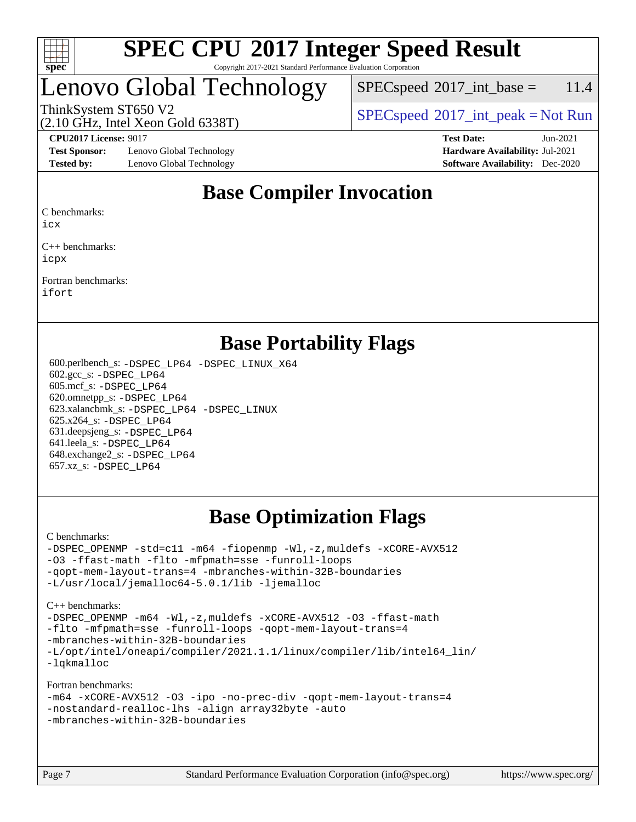

#### **[SPEC CPU](http://www.spec.org/auto/cpu2017/Docs/result-fields.html#SPECCPU2017IntegerSpeedResult)[2017 Integer Speed Result](http://www.spec.org/auto/cpu2017/Docs/result-fields.html#SPECCPU2017IntegerSpeedResult)** Copyright 2017-2021 Standard Performance Evaluation Corporation

# Lenovo Global Technology

 $SPEC speed^{\circ}2017\_int\_base = 11.4$ 

(2.10 GHz, Intel Xeon Gold 6338T)

ThinkSystem ST650 V2  $SPECspeed^{\circ}2017\_int\_peak = Not Run$  $SPECspeed^{\circ}2017\_int\_peak = Not Run$ 

**[Test Sponsor:](http://www.spec.org/auto/cpu2017/Docs/result-fields.html#TestSponsor)** Lenovo Global Technology **[Hardware Availability:](http://www.spec.org/auto/cpu2017/Docs/result-fields.html#HardwareAvailability)** Jul-2021 **[Tested by:](http://www.spec.org/auto/cpu2017/Docs/result-fields.html#Testedby)** Lenovo Global Technology **[Software Availability:](http://www.spec.org/auto/cpu2017/Docs/result-fields.html#SoftwareAvailability)** Dec-2020

**[CPU2017 License:](http://www.spec.org/auto/cpu2017/Docs/result-fields.html#CPU2017License)** 9017 **[Test Date:](http://www.spec.org/auto/cpu2017/Docs/result-fields.html#TestDate)** Jun-2021

### **[Base Compiler Invocation](http://www.spec.org/auto/cpu2017/Docs/result-fields.html#BaseCompilerInvocation)**

[C benchmarks:](http://www.spec.org/auto/cpu2017/Docs/result-fields.html#Cbenchmarks)

[icx](http://www.spec.org/cpu2017/results/res2021q3/cpu2017-20210705-27879.flags.html#user_CCbase_intel_icx_fe2d28d19ae2a5db7c42fe0f2a2aed77cb715edd4aeb23434404a8be6683fe239869bb6ca8154ca98265c2e3b9226a719a0efe2953a4a7018c379b7010ccf087)

[C++ benchmarks](http://www.spec.org/auto/cpu2017/Docs/result-fields.html#CXXbenchmarks): [icpx](http://www.spec.org/cpu2017/results/res2021q3/cpu2017-20210705-27879.flags.html#user_CXXbase_intel_icpx_1e918ed14c436bf4b9b7c8bcdd51d4539fc71b3df010bd1e9f8732d9c34c2b2914e48204a846820f3c0ebb4095dea797a5c30b458ac0b6dffac65d78f781f5ca)

[Fortran benchmarks:](http://www.spec.org/auto/cpu2017/Docs/result-fields.html#Fortranbenchmarks) [ifort](http://www.spec.org/cpu2017/results/res2021q3/cpu2017-20210705-27879.flags.html#user_FCbase_intel_ifort_8111460550e3ca792625aed983ce982f94888b8b503583aa7ba2b8303487b4d8a21a13e7191a45c5fd58ff318f48f9492884d4413fa793fd88dd292cad7027ca)

### **[Base Portability Flags](http://www.spec.org/auto/cpu2017/Docs/result-fields.html#BasePortabilityFlags)**

 600.perlbench\_s: [-DSPEC\\_LP64](http://www.spec.org/cpu2017/results/res2021q3/cpu2017-20210705-27879.flags.html#b600.perlbench_s_basePORTABILITY_DSPEC_LP64) [-DSPEC\\_LINUX\\_X64](http://www.spec.org/cpu2017/results/res2021q3/cpu2017-20210705-27879.flags.html#b600.perlbench_s_baseCPORTABILITY_DSPEC_LINUX_X64) 602.gcc\_s: [-DSPEC\\_LP64](http://www.spec.org/cpu2017/results/res2021q3/cpu2017-20210705-27879.flags.html#suite_basePORTABILITY602_gcc_s_DSPEC_LP64) 605.mcf\_s: [-DSPEC\\_LP64](http://www.spec.org/cpu2017/results/res2021q3/cpu2017-20210705-27879.flags.html#suite_basePORTABILITY605_mcf_s_DSPEC_LP64) 620.omnetpp\_s: [-DSPEC\\_LP64](http://www.spec.org/cpu2017/results/res2021q3/cpu2017-20210705-27879.flags.html#suite_basePORTABILITY620_omnetpp_s_DSPEC_LP64) 623.xalancbmk\_s: [-DSPEC\\_LP64](http://www.spec.org/cpu2017/results/res2021q3/cpu2017-20210705-27879.flags.html#suite_basePORTABILITY623_xalancbmk_s_DSPEC_LP64) [-DSPEC\\_LINUX](http://www.spec.org/cpu2017/results/res2021q3/cpu2017-20210705-27879.flags.html#b623.xalancbmk_s_baseCXXPORTABILITY_DSPEC_LINUX) 625.x264\_s: [-DSPEC\\_LP64](http://www.spec.org/cpu2017/results/res2021q3/cpu2017-20210705-27879.flags.html#suite_basePORTABILITY625_x264_s_DSPEC_LP64) 631.deepsjeng\_s: [-DSPEC\\_LP64](http://www.spec.org/cpu2017/results/res2021q3/cpu2017-20210705-27879.flags.html#suite_basePORTABILITY631_deepsjeng_s_DSPEC_LP64) 641.leela\_s: [-DSPEC\\_LP64](http://www.spec.org/cpu2017/results/res2021q3/cpu2017-20210705-27879.flags.html#suite_basePORTABILITY641_leela_s_DSPEC_LP64) 648.exchange2\_s: [-DSPEC\\_LP64](http://www.spec.org/cpu2017/results/res2021q3/cpu2017-20210705-27879.flags.html#suite_basePORTABILITY648_exchange2_s_DSPEC_LP64) 657.xz\_s: [-DSPEC\\_LP64](http://www.spec.org/cpu2017/results/res2021q3/cpu2017-20210705-27879.flags.html#suite_basePORTABILITY657_xz_s_DSPEC_LP64)

## **[Base Optimization Flags](http://www.spec.org/auto/cpu2017/Docs/result-fields.html#BaseOptimizationFlags)**

[C benchmarks](http://www.spec.org/auto/cpu2017/Docs/result-fields.html#Cbenchmarks):

[-DSPEC\\_OPENMP](http://www.spec.org/cpu2017/results/res2021q3/cpu2017-20210705-27879.flags.html#suite_CCbase_DSPEC_OPENMP) [-std=c11](http://www.spec.org/cpu2017/results/res2021q3/cpu2017-20210705-27879.flags.html#user_CCbase_std-icc-std_0e1c27790398a4642dfca32ffe6c27b5796f9c2d2676156f2e42c9c44eaad0c049b1cdb667a270c34d979996257aeb8fc440bfb01818dbc9357bd9d174cb8524) [-m64](http://www.spec.org/cpu2017/results/res2021q3/cpu2017-20210705-27879.flags.html#user_CCbase_m64-icc) [-fiopenmp](http://www.spec.org/cpu2017/results/res2021q3/cpu2017-20210705-27879.flags.html#user_CCbase_fiopenmp_4cde26b3fcccd23bd0bb70af4efc204325d72839eefa1147e34201101709f20b3deb62aad96701dea148529bf4ca48c90b72f3bf837ca148e297cf8a0ba6feb7) [-Wl,-z,muldefs](http://www.spec.org/cpu2017/results/res2021q3/cpu2017-20210705-27879.flags.html#user_CCbase_link_force_multiple1_b4cbdb97b34bdee9ceefcfe54f4c8ea74255f0b02a4b23e853cdb0e18eb4525ac79b5a88067c842dd0ee6996c24547a27a4b99331201badda8798ef8a743f577) [-xCORE-AVX512](http://www.spec.org/cpu2017/results/res2021q3/cpu2017-20210705-27879.flags.html#user_CCbase_f-xCORE-AVX512) [-O3](http://www.spec.org/cpu2017/results/res2021q3/cpu2017-20210705-27879.flags.html#user_CCbase_f-O3) [-ffast-math](http://www.spec.org/cpu2017/results/res2021q3/cpu2017-20210705-27879.flags.html#user_CCbase_f-ffast-math) [-flto](http://www.spec.org/cpu2017/results/res2021q3/cpu2017-20210705-27879.flags.html#user_CCbase_f-flto) [-mfpmath=sse](http://www.spec.org/cpu2017/results/res2021q3/cpu2017-20210705-27879.flags.html#user_CCbase_f-mfpmath_70eb8fac26bde974f8ab713bc9086c5621c0b8d2f6c86f38af0bd7062540daf19db5f3a066d8c6684be05d84c9b6322eb3b5be6619d967835195b93d6c02afa1) [-funroll-loops](http://www.spec.org/cpu2017/results/res2021q3/cpu2017-20210705-27879.flags.html#user_CCbase_f-funroll-loops) [-qopt-mem-layout-trans=4](http://www.spec.org/cpu2017/results/res2021q3/cpu2017-20210705-27879.flags.html#user_CCbase_f-qopt-mem-layout-trans_fa39e755916c150a61361b7846f310bcdf6f04e385ef281cadf3647acec3f0ae266d1a1d22d972a7087a248fd4e6ca390a3634700869573d231a252c784941a8) [-mbranches-within-32B-boundaries](http://www.spec.org/cpu2017/results/res2021q3/cpu2017-20210705-27879.flags.html#user_CCbase_f-mbranches-within-32B-boundaries) [-L/usr/local/jemalloc64-5.0.1/lib](http://www.spec.org/cpu2017/results/res2021q3/cpu2017-20210705-27879.flags.html#user_CCbase_jemalloc_link_path64_1_cc289568b1a6c0fd3b62c91b824c27fcb5af5e8098e6ad028160d21144ef1b8aef3170d2acf0bee98a8da324cfe4f67d0a3d0c4cc4673d993d694dc2a0df248b) [-ljemalloc](http://www.spec.org/cpu2017/results/res2021q3/cpu2017-20210705-27879.flags.html#user_CCbase_jemalloc_link_lib_d1249b907c500fa1c0672f44f562e3d0f79738ae9e3c4a9c376d49f265a04b9c99b167ecedbf6711b3085be911c67ff61f150a17b3472be731631ba4d0471706)

[C++ benchmarks:](http://www.spec.org/auto/cpu2017/Docs/result-fields.html#CXXbenchmarks)

[-DSPEC\\_OPENMP](http://www.spec.org/cpu2017/results/res2021q3/cpu2017-20210705-27879.flags.html#suite_CXXbase_DSPEC_OPENMP) [-m64](http://www.spec.org/cpu2017/results/res2021q3/cpu2017-20210705-27879.flags.html#user_CXXbase_m64-icc) [-Wl,-z,muldefs](http://www.spec.org/cpu2017/results/res2021q3/cpu2017-20210705-27879.flags.html#user_CXXbase_link_force_multiple1_b4cbdb97b34bdee9ceefcfe54f4c8ea74255f0b02a4b23e853cdb0e18eb4525ac79b5a88067c842dd0ee6996c24547a27a4b99331201badda8798ef8a743f577) [-xCORE-AVX512](http://www.spec.org/cpu2017/results/res2021q3/cpu2017-20210705-27879.flags.html#user_CXXbase_f-xCORE-AVX512) [-O3](http://www.spec.org/cpu2017/results/res2021q3/cpu2017-20210705-27879.flags.html#user_CXXbase_f-O3) [-ffast-math](http://www.spec.org/cpu2017/results/res2021q3/cpu2017-20210705-27879.flags.html#user_CXXbase_f-ffast-math) [-flto](http://www.spec.org/cpu2017/results/res2021q3/cpu2017-20210705-27879.flags.html#user_CXXbase_f-flto) [-mfpmath=sse](http://www.spec.org/cpu2017/results/res2021q3/cpu2017-20210705-27879.flags.html#user_CXXbase_f-mfpmath_70eb8fac26bde974f8ab713bc9086c5621c0b8d2f6c86f38af0bd7062540daf19db5f3a066d8c6684be05d84c9b6322eb3b5be6619d967835195b93d6c02afa1) [-funroll-loops](http://www.spec.org/cpu2017/results/res2021q3/cpu2017-20210705-27879.flags.html#user_CXXbase_f-funroll-loops) [-qopt-mem-layout-trans=4](http://www.spec.org/cpu2017/results/res2021q3/cpu2017-20210705-27879.flags.html#user_CXXbase_f-qopt-mem-layout-trans_fa39e755916c150a61361b7846f310bcdf6f04e385ef281cadf3647acec3f0ae266d1a1d22d972a7087a248fd4e6ca390a3634700869573d231a252c784941a8) [-mbranches-within-32B-boundaries](http://www.spec.org/cpu2017/results/res2021q3/cpu2017-20210705-27879.flags.html#user_CXXbase_f-mbranches-within-32B-boundaries) [-L/opt/intel/oneapi/compiler/2021.1.1/linux/compiler/lib/intel64\\_lin/](http://www.spec.org/cpu2017/results/res2021q3/cpu2017-20210705-27879.flags.html#user_CXXbase_linkpath_765a8c93c4ea33dfc565a33ecb48f4f7d02a6338709b3b362f341eb203a06426ce1d12ded4c7809f6ab6cf0e9f5515cffeb4efc405b63f85dc27a83bbbdeb3a3) [-lqkmalloc](http://www.spec.org/cpu2017/results/res2021q3/cpu2017-20210705-27879.flags.html#user_CXXbase_qkmalloc_link_lib_79a818439969f771c6bc311cfd333c00fc099dad35c030f5aab9dda831713d2015205805422f83de8875488a2991c0a156aaa600e1f9138f8fc37004abc96dc5)

[Fortran benchmarks](http://www.spec.org/auto/cpu2017/Docs/result-fields.html#Fortranbenchmarks):

```
-m64 -xCORE-AVX512 -O3 -ipo -no-prec-div -qopt-mem-layout-trans=4
-nostandard-realloc-lhs -align array32byte -auto
-mbranches-within-32B-boundaries
```